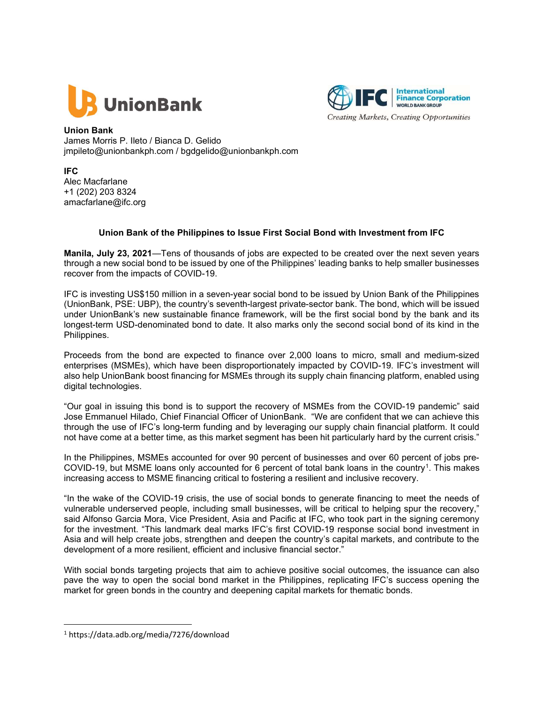



Union Bank James Morris P. Ileto / Bianca D. Gelido jmpileto@unionbankph.com / bgdgelido@unionbankph.com

IFC Alec Macfarlane +1 (202) 203 8324 amacfarlane@ifc.org

## Union Bank of the Philippines to Issue First Social Bond with Investment from IFC

Manila, July 23, 2021—Tens of thousands of jobs are expected to be created over the next seven years through a new social bond to be issued by one of the Philippines' leading banks to help smaller businesses recover from the impacts of COVID-19.

IFC is investing US\$150 million in a seven-year social bond to be issued by Union Bank of the Philippines (UnionBank, PSE: UBP), the country's seventh-largest private-sector bank. The bond, which will be issued under UnionBank's new sustainable finance framework, will be the first social bond by the bank and its longest-term USD-denominated bond to date. It also marks only the second social bond of its kind in the Philippines.

Proceeds from the bond are expected to finance over 2,000 loans to micro, small and medium-sized enterprises (MSMEs), which have been disproportionately impacted by COVID-19. IFC's investment will also help UnionBank boost financing for MSMEs through its supply chain financing platform, enabled using digital technologies.

"Our goal in issuing this bond is to support the recovery of MSMEs from the COVID-19 pandemic" said Jose Emmanuel Hilado, Chief Financial Officer of UnionBank. "We are confident that we can achieve this through the use of IFC's long-term funding and by leveraging our supply chain financial platform. It could not have come at a better time, as this market segment has been hit particularly hard by the current crisis."

In the Philippines, MSMEs accounted for over 90 percent of businesses and over 60 percent of jobs pre-COVID-19, but MSME loans only accounted for 6 percent of total bank loans in the country<sup>1</sup>. This makes increasing access to MSME financing critical to fostering a resilient and inclusive recovery.

"In the wake of the COVID-19 crisis, the use of social bonds to generate financing to meet the needs of vulnerable underserved people, including small businesses, will be critical to helping spur the recovery," said Alfonso Garcia Mora, Vice President, Asia and Pacific at IFC, who took part in the signing ceremony for the investment. "This landmark deal marks IFC's first COVID-19 response social bond investment in Asia and will help create jobs, strengthen and deepen the country's capital markets, and contribute to the development of a more resilient, efficient and inclusive financial sector."

With social bonds targeting projects that aim to achieve positive social outcomes, the issuance can also pave the way to open the social bond market in the Philippines, replicating IFC's success opening the market for green bonds in the country and deepening capital markets for thematic bonds.

<sup>1</sup> https://data.adb.org/media/7276/download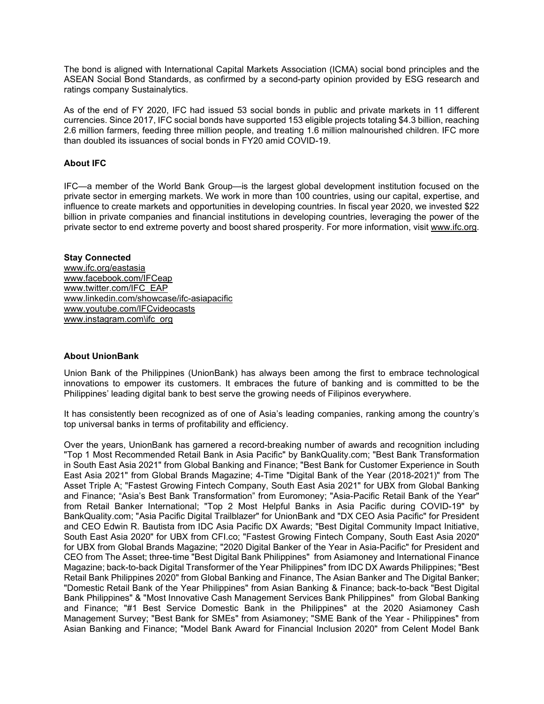The bond is aligned with International Capital Markets Association (ICMA) social bond principles and the ASEAN Social Bond Standards, as confirmed by a second-party opinion provided by ESG research and ratings company Sustainalytics.

As of the end of FY 2020, IFC had issued 53 social bonds in public and private markets in 11 different currencies. Since 2017, IFC social bonds have supported 153 eligible projects totaling \$4.3 billion, reaching 2.6 million farmers, feeding three million people, and treating 1.6 million malnourished children. IFC more than doubled its issuances of social bonds in FY20 amid COVID-19.

# About IFC

IFC—a member of the World Bank Group—is the largest global development institution focused on the private sector in emerging markets. We work in more than 100 countries, using our capital, expertise, and influence to create markets and opportunities in developing countries. In fiscal year 2020, we invested \$22 billion in private companies and financial institutions in developing countries, leveraging the power of the private sector to end extreme poverty and boost shared prosperity. For more information, visit www.ifc.org.

#### Stay Connected

www.ifc.org/eastasia www.facebook.com/IFCeap www.twitter.com/IFC\_EAP www.linkedin.com/showcase/ifc-asiapacific www.youtube.com/IFCvideocasts www.instagram.com\ifc\_org

## About UnionBank

Union Bank of the Philippines (UnionBank) has always been among the first to embrace technological innovations to empower its customers. It embraces the future of banking and is committed to be the Philippines' leading digital bank to best serve the growing needs of Filipinos everywhere.

It has consistently been recognized as of one of Asia's leading companies, ranking among the country's top universal banks in terms of profitability and efficiency.

Over the years, UnionBank has garnered a record-breaking number of awards and recognition including "Top 1 Most Recommended Retail Bank in Asia Pacific" by BankQuality.com; "Best Bank Transformation in South East Asia 2021" from Global Banking and Finance; "Best Bank for Customer Experience in South East Asia 2021" from Global Brands Magazine; 4-Time "Digital Bank of the Year (2018-2021)" from The Asset Triple A; "Fastest Growing Fintech Company, South East Asia 2021" for UBX from Global Banking and Finance; "Asia's Best Bank Transformation" from Euromoney; "Asia-Pacific Retail Bank of the Year" from Retail Banker International; "Top 2 Most Helpful Banks in Asia Pacific during COVID-19" by BankQuality.com; "Asia Pacific Digital Trailblazer" for UnionBank and "DX CEO Asia Pacific" for President and CEO Edwin R. Bautista from IDC Asia Pacific DX Awards; "Best Digital Community Impact Initiative, South East Asia 2020" for UBX from CFI.co; "Fastest Growing Fintech Company, South East Asia 2020" for UBX from Global Brands Magazine; "2020 Digital Banker of the Year in Asia-Pacific" for President and CEO from The Asset; three-time "Best Digital Bank Philippines" from Asiamoney and International Finance Magazine; back-to-back Digital Transformer of the Year Philippines" from IDC DX Awards Philippines; "Best Retail Bank Philippines 2020" from Global Banking and Finance, The Asian Banker and The Digital Banker; "Domestic Retail Bank of the Year Philippines" from Asian Banking & Finance; back-to-back "Best Digital Bank Philippines" & "Most Innovative Cash Management Services Bank Philippines" from Global Banking and Finance; "#1 Best Service Domestic Bank in the Philippines" at the 2020 Asiamoney Cash Management Survey; "Best Bank for SMEs" from Asiamoney; "SME Bank of the Year - Philippines" from Asian Banking and Finance; "Model Bank Award for Financial Inclusion 2020" from Celent Model Bank